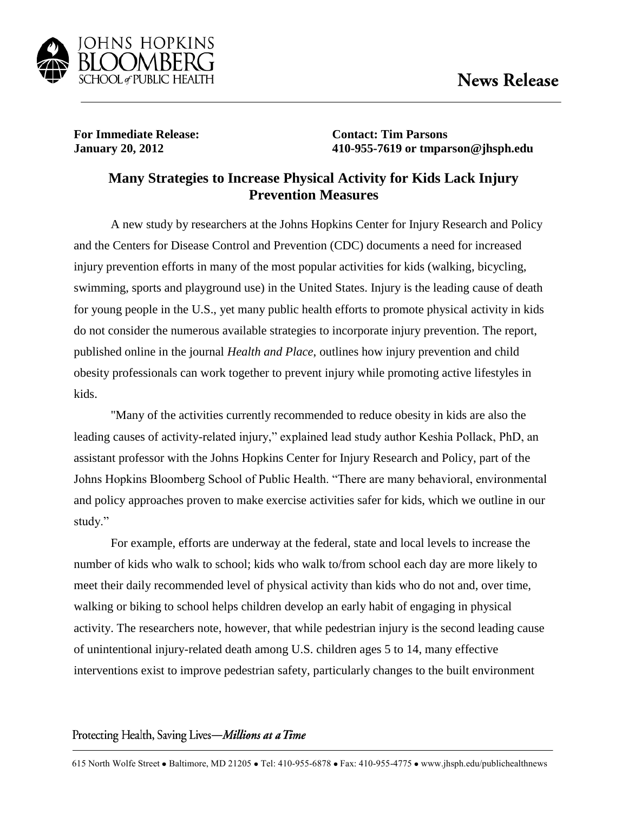

**For Immediate Release: Contact: Tim Parsons**

**January 20, 2012 410-955-7619 or tmparson@jhsph.edu**

## **Many Strategies to Increase Physical Activity for Kids Lack Injury Prevention Measures**

A new study by researchers at the Johns Hopkins Center for Injury Research and Policy and the Centers for Disease Control and Prevention (CDC) documents a need for increased injury prevention efforts in many of the most popular activities for kids (walking, bicycling, swimming, sports and playground use) in the United States. Injury is the leading cause of death for young people in the U.S., yet many public health efforts to promote physical activity in kids do not consider the numerous available strategies to incorporate injury prevention. The report, published online in the journal *Health and Place*, outlines how injury prevention and child obesity professionals can work together to prevent injury while promoting active lifestyles in kids.

"Many of the activities currently recommended to reduce obesity in kids are also the leading causes of activity-related injury," explained lead study author Keshia Pollack, PhD, an assistant professor with the Johns Hopkins Center for Injury Research and Policy, part of the Johns Hopkins Bloomberg School of Public Health. "There are many behavioral, environmental and policy approaches proven to make exercise activities safer for kids, which we outline in our study."

For example, efforts are underway at the federal, state and local levels to increase the number of kids who walk to school; kids who walk to/from school each day are more likely to meet their daily recommended level of physical activity than kids who do not and, over time, walking or biking to school helps children develop an early habit of engaging in physical activity. The researchers note, however, that while pedestrian injury is the second leading cause of unintentional injury-related death among U.S. children ages 5 to 14, many effective interventions exist to improve pedestrian safety, particularly changes to the built environment

## Protecting Health, Saving Lives-Millions at a Time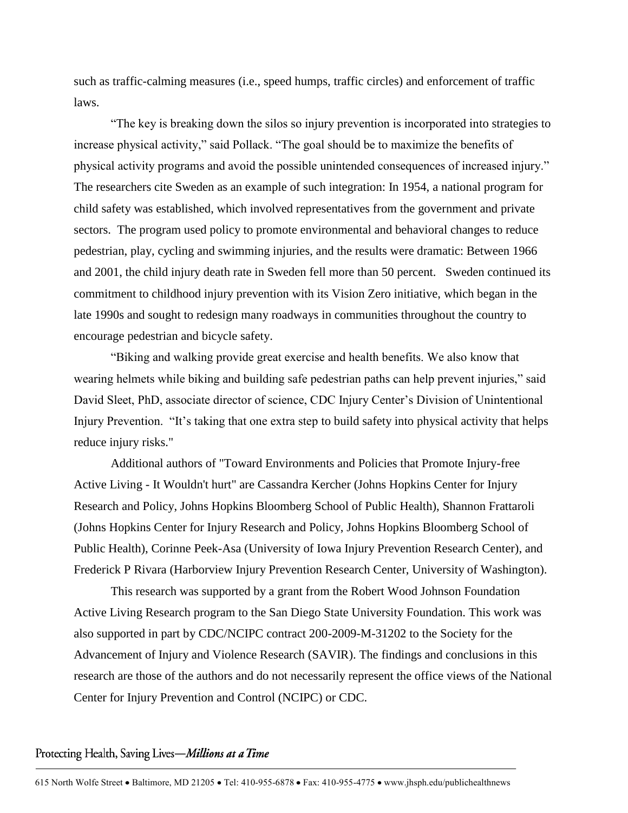such as traffic-calming measures (i.e., speed humps, traffic circles) and enforcement of traffic laws.

"The key is breaking down the silos so injury prevention is incorporated into strategies to increase physical activity," said Pollack. "The goal should be to maximize the benefits of physical activity programs and avoid the possible unintended consequences of increased injury." The researchers cite Sweden as an example of such integration: In 1954, a national program for child safety was established, which involved representatives from the government and private sectors. The program used policy to promote environmental and behavioral changes to reduce pedestrian, play, cycling and swimming injuries, and the results were dramatic: Between 1966 and 2001, the child injury death rate in Sweden fell more than 50 percent. Sweden continued its commitment to childhood injury prevention with its Vision Zero initiative, which began in the late 1990s and sought to redesign many roadways in communities throughout the country to encourage pedestrian and bicycle safety.

"Biking and walking provide great exercise and health benefits. We also know that wearing helmets while biking and building safe pedestrian paths can help prevent injuries," said David Sleet, PhD, associate director of science, CDC Injury Center's Division of Unintentional Injury Prevention. "It's taking that one extra step to build safety into physical activity that helps reduce injury risks."

Additional authors of "Toward Environments and Policies that Promote Injury-free Active Living - It Wouldn't hurt" are Cassandra Kercher (Johns Hopkins Center for Injury Research and Policy, Johns Hopkins Bloomberg School of Public Health), Shannon Frattaroli (Johns Hopkins Center for Injury Research and Policy, Johns Hopkins Bloomberg School of Public Health), Corinne Peek-Asa (University of Iowa Injury Prevention Research Center), and Frederick P Rivara (Harborview Injury Prevention Research Center, University of Washington).

This research was supported by a grant from the Robert Wood Johnson Foundation Active Living Research program to the San Diego State University Foundation. This work was also supported in part by CDC/NCIPC contract 200-2009-M-31202 to the Society for the Advancement of Injury and Violence Research (SAVIR). The findings and conclusions in this research are those of the authors and do not necessarily represent the office views of the National Center for Injury Prevention and Control (NCIPC) or CDC.

## Protecting Health, Saving Lives-Millions at a Time